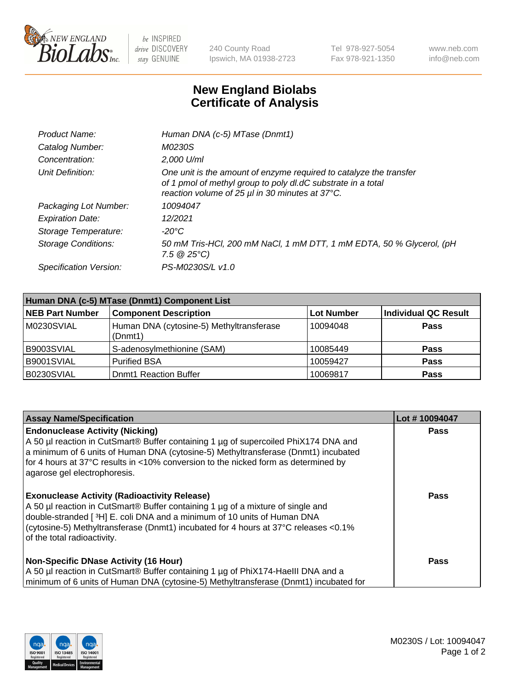

 $be$  INSPIRED drive DISCOVERY stay GENUINE

240 County Road Ipswich, MA 01938-2723 Tel 978-927-5054 Fax 978-921-1350 www.neb.com info@neb.com

## **New England Biolabs Certificate of Analysis**

| Product Name:              | Human DNA (c-5) MTase (Dnmt1)                                                                                                                                                         |
|----------------------------|---------------------------------------------------------------------------------------------------------------------------------------------------------------------------------------|
| Catalog Number:            | <i>M0230S</i>                                                                                                                                                                         |
| Concentration:             | $2.000$ U/ml                                                                                                                                                                          |
| Unit Definition:           | One unit is the amount of enzyme required to catalyze the transfer<br>of 1 pmol of methyl group to poly dl.dC substrate in a total<br>reaction volume of 25 µl in 30 minutes at 37°C. |
| Packaging Lot Number:      | 10094047                                                                                                                                                                              |
| <b>Expiration Date:</b>    | 12/2021                                                                                                                                                                               |
| Storage Temperature:       | $-20^{\circ}$ C                                                                                                                                                                       |
| <b>Storage Conditions:</b> | 50 mM Tris-HCl, 200 mM NaCl, 1 mM DTT, 1 mM EDTA, 50 % Glycerol, (pH<br>7.5 $@25°C$ )                                                                                                 |
| Specification Version:     | PS-M0230S/L v1.0                                                                                                                                                                      |

| Human DNA (c-5) MTase (Dnmt1) Component List |                                                     |                   |                      |  |
|----------------------------------------------|-----------------------------------------------------|-------------------|----------------------|--|
| <b>NEB Part Number</b>                       | <b>Component Description</b>                        | <b>Lot Number</b> | Individual QC Result |  |
| M0230SVIAL                                   | Human DNA (cytosine-5) Methyltransferase<br>(Dnmt1) | 10094048          | Pass                 |  |
| B9003SVIAL                                   | S-adenosylmethionine (SAM)                          | 10085449          | <b>Pass</b>          |  |
| B9001SVIAL                                   | <b>Purified BSA</b>                                 | 10059427          | <b>Pass</b>          |  |
| B0230SVIAL                                   | <b>Domt1 Reaction Buffer</b>                        | 10069817          | <b>Pass</b>          |  |

| <b>Assay Name/Specification</b>                                                                                                                                                                                                                                                                                                           | Lot #10094047 |
|-------------------------------------------------------------------------------------------------------------------------------------------------------------------------------------------------------------------------------------------------------------------------------------------------------------------------------------------|---------------|
| <b>Endonuclease Activity (Nicking)</b><br>A 50 µl reaction in CutSmart® Buffer containing 1 µg of supercoiled PhiX174 DNA and<br>a minimum of 6 units of Human DNA (cytosine-5) Methyltransferase (Dnmt1) incubated<br>for 4 hours at 37°C results in <10% conversion to the nicked form as determined by<br>agarose gel electrophoresis. | <b>Pass</b>   |
| <b>Exonuclease Activity (Radioactivity Release)</b><br>A 50 µl reaction in CutSmart® Buffer containing 1 µg of a mixture of single and<br>double-stranded [3H] E. coli DNA and a minimum of 10 units of Human DNA<br>(cytosine-5) Methyltransferase (Dnmt1) incubated for 4 hours at 37°C releases <0.1%<br>of the total radioactivity.   | <b>Pass</b>   |
| <b>Non-Specific DNase Activity (16 Hour)</b><br>A 50 µl reaction in CutSmart® Buffer containing 1 µg of PhiX174-Haelll DNA and a<br>minimum of 6 units of Human DNA (cytosine-5) Methyltransferase (Dnmt1) incubated for                                                                                                                  | Pass          |